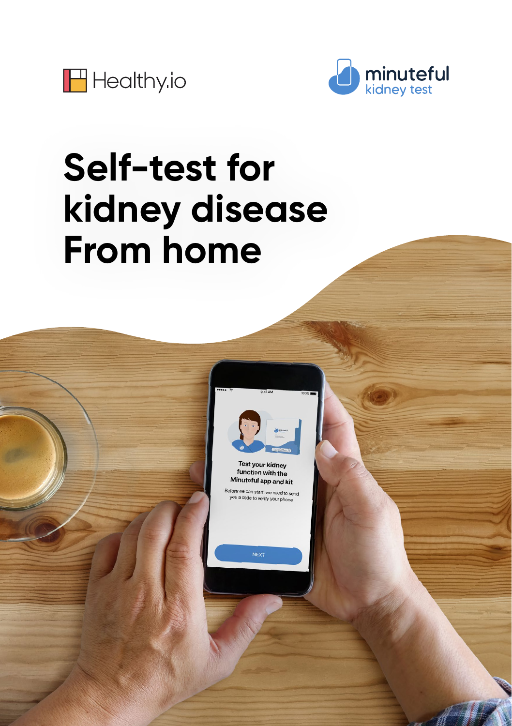



# **Self-test for kidney disease From home**



**Test your kidney** function with the Minuteful app and kit

can start, we need to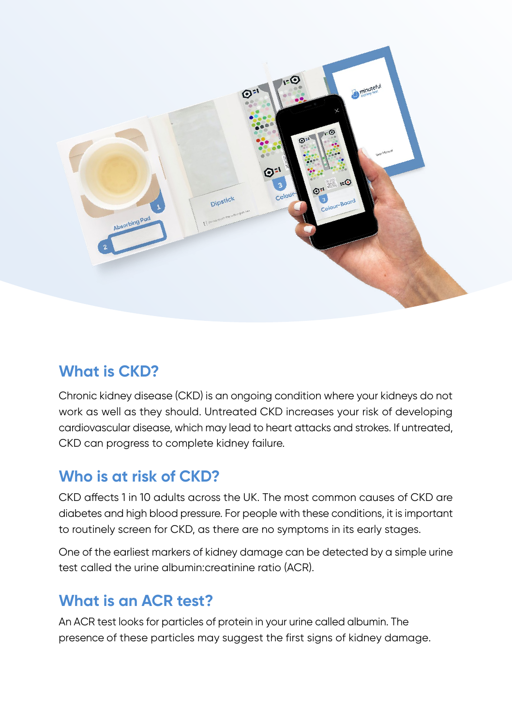

## **What is CKD?**

Chronic kidney disease (CKD) is an ongoing condition where your kidneys do not work as well as they should. Untreated CKD increases your risk of developing cardiovascular disease, which may lead to heart attacks and strokes. If untreated, CKD can progress to complete kidney failure.

## **Who** is at risk of CKD?

CKD affects 1 in 10 adults across the UK. The most common causes of CKD are diabetes and high blood pressure. For people with these conditions, it is important to routinely screen for CKD, as there are no symptoms in its early stages.

One of the earliest markers of kidney damage can be detected by a simple urine test called the urine albumin: creatinine ratio (ACR).

### **What is an ACR test?**

An ACR test looks for particles of protein in your urine called albumin. The presence of these particles may suggest the first signs of kidney damage.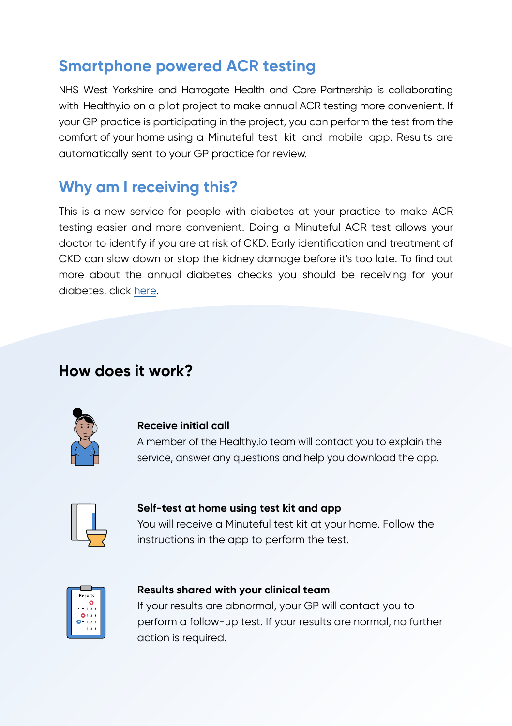#### **Smartphone powered ACR testing**

NHS West Yorkshire and Harrogate Health and Care Partnership is collaborating with Healthy io on a pilot project to make annual ACR testing more convenient. If your GP practice is participating in the project, you can perform the test from the comfort of your home using a Minuteful test kit and mobile app. Results are automatically sent to your GP practice for review.

### **Why am I receiving this?**

This is a new service for people with diabetes at your practice to make ACR testing easier and more convenient. Doing a Minuteful ACR test allows your doctor to identify if you are at risk of CKD. Early identification and treatment of CKD can slow down or stop the kidney damage before it's too late. To find out more about the annual diabetes checks you should be receiving for your diabetes, click [here](https://www.diabetes.org.uk/guide-to-diabetes/managing-your-diabetes/15-healthcare-essentials).

#### How does it work?



#### **Receive initial call**

A member of the Healthy io team will contact you to explain the service, answer any auestions and help you download the app.



#### Self-test at home using test kit and app

You will receive a Minuteful test kit at your home. Follow the instructions in the app to perform the test.



#### **Results shared with your clinical team**

If your results are abnormal, your GP will contact you to perform a follow-up test. If your results are normal, no further action is required.